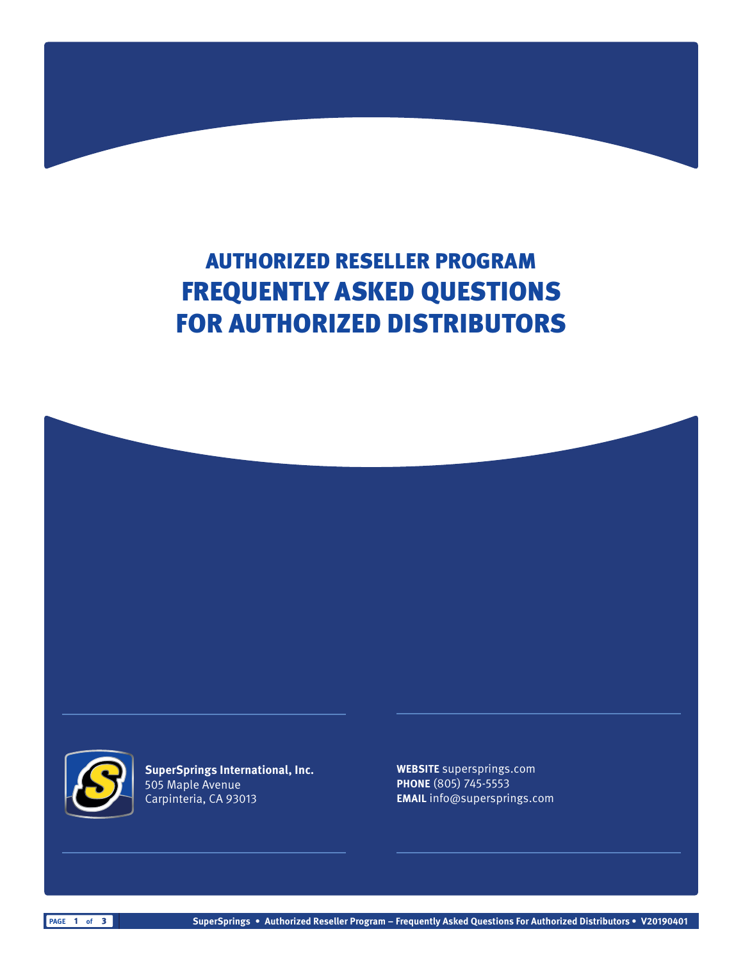# AUTHORIZED RESELLER PROGRAM FREQUENTLY ASKED QUESTIONS FOR AUTHORIZED DISTRIBUTORS





**SuperSprings International, Inc.** 505 Maple Avenue Carpinteria, CA 93013

**WEBSITE** supersprings.com **PHONE** (805) 745-5553 **EMAIL** info@supersprings.com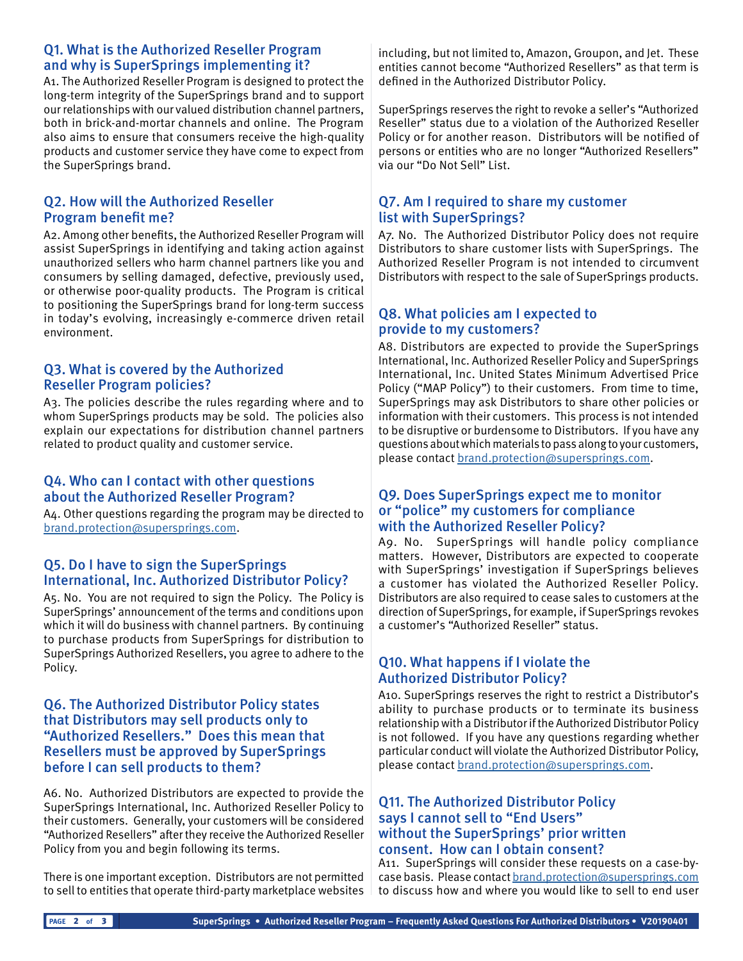## Q1. What is the Authorized Reseller Program and why is SuperSprings implementing it?

A1. The Authorized Reseller Program is designed to protect the long-term integrity of the SuperSprings brand and to support our relationships with our valued distribution channel partners, both in brick-and-mortar channels and online. The Program also aims to ensure that consumers receive the high-quality products and customer service they have come to expect from the SuperSprings brand.

## Q2. How will the Authorized Reseller Program benefit me?

A2. Among other benefits, the Authorized Reseller Program will assist SuperSprings in identifying and taking action against unauthorized sellers who harm channel partners like you and consumers by selling damaged, defective, previously used, or otherwise poor-quality products. The Program is critical to positioning the SuperSprings brand for long-term success in today's evolving, increasingly e-commerce driven retail environment.

## Q3. What is covered by the Authorized Reseller Program policies?

A3. The policies describe the rules regarding where and to whom SuperSprings products may be sold. The policies also explain our expectations for distribution channel partners related to product quality and customer service.

## Q4. Who can I contact with other questions about the Authorized Reseller Program?

A4. Other questions regarding the program may be directed to [brand.protection@supersprings.com.](mailto:brand.protection%40supersprings.com?subject=)

## Q5. Do I have to sign the SuperSprings International, Inc. Authorized Distributor Policy?

A5. No. You are not required to sign the Policy. The Policy is SuperSprings' announcement of the terms and conditions upon which it will do business with channel partners. By continuing to purchase products from SuperSprings for distribution to SuperSprings Authorized Resellers, you agree to adhere to the Policy.

#### Q6. The Authorized Distributor Policy states that Distributors may sell products only to "Authorized Resellers." Does this mean that Resellers must be approved by SuperSprings before I can sell products to them?

A6. No. Authorized Distributors are expected to provide the SuperSprings International, Inc. Authorized Reseller Policy to their customers. Generally, your customers will be considered "Authorized Resellers" after they receive the Authorized Reseller Policy from you and begin following its terms.

There is one important exception. Distributors are not permitted to sell to entities that operate third-party marketplace websites including, but not limited to, Amazon, Groupon, and Jet. These entities cannot become "Authorized Resellers" as that term is defined in the Authorized Distributor Policy.

SuperSprings reserves the right to revoke a seller's "Authorized Reseller" status due to a violation of the Authorized Reseller Policy or for another reason. Distributors will be notified of persons or entities who are no longer "Authorized Resellers" via our "Do Not Sell" List.

# Q7. Am I required to share my customer list with SuperSprings?

A7. No. The Authorized Distributor Policy does not require Distributors to share customer lists with SuperSprings. The Authorized Reseller Program is not intended to circumvent Distributors with respect to the sale of SuperSprings products.

### Q8. What policies am I expected to provide to my customers?

A8. Distributors are expected to provide the SuperSprings International, Inc. Authorized Reseller Policy and SuperSprings International, Inc. United States Minimum Advertised Price Policy ("MAP Policy") to their customers. From time to time, SuperSprings may ask Distributors to share other policies or information with their customers. This process is not intended to be disruptive or burdensome to Distributors. If you have any questions about which materials to pass along to your customers, please contact [brand.protection@supersprings.com.](mailto:brand.protection%40supersprings.com?subject=)

#### Q9. Does SuperSprings expect me to monitor or "police" my customers for compliance with the Authorized Reseller Policy?

A9. No. SuperSprings will handle policy compliance matters. However, Distributors are expected to cooperate with SuperSprings' investigation if SuperSprings believes a customer has violated the Authorized Reseller Policy. Distributors are also required to cease sales to customers at the direction of SuperSprings, for example, if SuperSprings revokes a customer's "Authorized Reseller" status.

# Q10. What happens if I violate the Authorized Distributor Policy?

A10. SuperSprings reserves the right to restrict a Distributor's ability to purchase products or to terminate its business relationship with a Distributor if the Authorized Distributor Policy is not followed. If you have any questions regarding whether particular conduct will violate the Authorized Distributor Policy, please contact [brand.protection@supersprings.com.](mailto:brand.protection%40supersprings.com?subject=)

### Q11. The Authorized Distributor Policy says I cannot sell to "End Users" without the SuperSprings' prior written consent. How can I obtain consent?

A11. SuperSprings will consider these requests on a case-bycase basis. Please contact [brand.protection@supersprings.com](mailto:brand.protection%40supersprings.com?subject=) to discuss how and where you would like to sell to end user